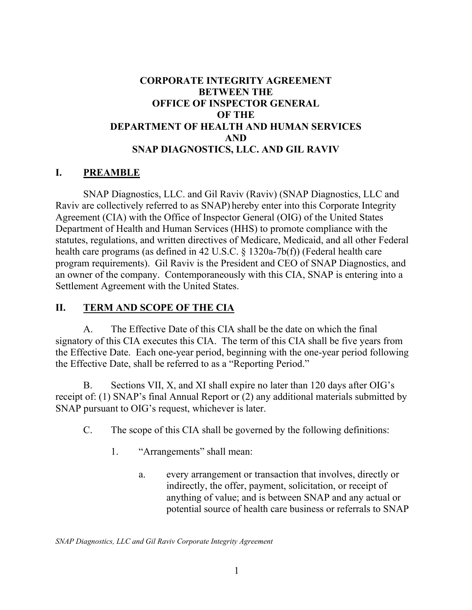### **CORPORATE INTEGRITY AGREEMENT BETWEEN THE OFFICE OF INSPECTOR GENERAL OF THE DEPARTMENT OF HEALTH AND HUMAN SERVICES AND SNAP DIAGNOSTICS, LLC. AND GIL RAVIV**

### **I. PREAMBLE**

SNAP Diagnostics, LLC. and Gil Raviv (Raviv) (SNAP Diagnostics, LLC and Raviv are collectively referred to as SNAP) hereby enter into this Corporate Integrity Agreement (CIA) with the Office of Inspector General (OIG) of the United States Department of Health and Human Services (HHS) to promote compliance with the statutes, regulations, and written directives of Medicare, Medicaid, and all other Federal health care programs (as defined in 42 U.S.C. § 1320a-7b(f)) (Federal health care program requirements). Gil Raviv is the President and CEO of SNAP Diagnostics, and an owner of the company. Contemporaneously with this CIA, SNAP is entering into a Settlement Agreement with the United States.

#### **II. TERM AND SCOPE OF THE CIA**

A. The Effective Date of this CIA shall be the date on which the final signatory of this CIA executes this CIA. The term of this CIA shall be five years from the Effective Date. Each one-year period, beginning with the one-year period following the Effective Date, shall be referred to as a "Reporting Period."

B. Sections VII, X, and XI shall expire no later than 120 days after OIG's receipt of: (1) SNAP's final Annual Report or (2) any additional materials submitted by SNAP pursuant to OIG's request, whichever is later.

- C. The scope of this CIA shall be governed by the following definitions:
	- 1. "Arrangements" shall mean:
		- a. every arrangement or transaction that involves, directly or indirectly, the offer, payment, solicitation, or receipt of anything of value; and is between SNAP and any actual or potential source of health care business or referrals to SNAP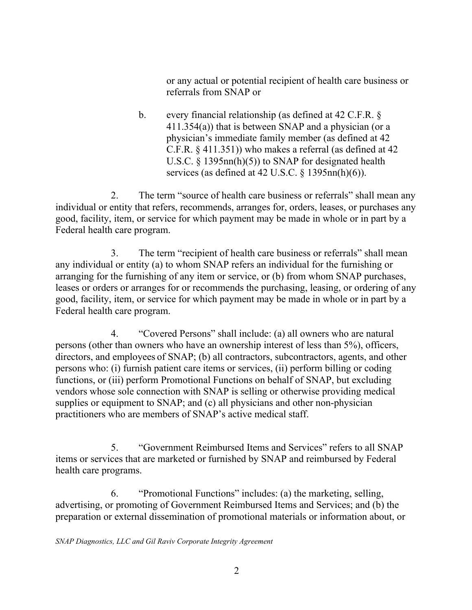or any actual or potential recipient of health care business or referrals from SNAP or

b. every financial relationship (as defined at 42 C.F.R. § 411.354(a)) that is between SNAP and a physician (or a physician's immediate family member (as defined at 42 C.F.R. § 411.351)) who makes a referral (as defined at 42 U.S.C. § 1395nn(h)(5)) to SNAP for designated health services (as defined at 42 U.S.C.  $\S$  1395nn(h)(6)).

2. The term "source of health care business or referrals" shall mean any individual or entity that refers, recommends, arranges for, orders, leases, or purchases any good, facility, item, or service for which payment may be made in whole or in part by a Federal health care program.

3. The term "recipient of health care business or referrals" shall mean any individual or entity (a) to whom SNAP refers an individual for the furnishing or arranging for the furnishing of any item or service, or (b) from whom SNAP purchases, leases or orders or arranges for or recommends the purchasing, leasing, or ordering of any good, facility, item, or service for which payment may be made in whole or in part by a Federal health care program.

4. "Covered Persons" shall include: (a) all owners who are natural persons (other than owners who have an ownership interest of less than 5%), officers, directors, and employees of SNAP; (b) all contractors, subcontractors, agents, and other persons who: (i) furnish patient care items or services, (ii) perform billing or coding functions, or (iii) perform Promotional Functions on behalf of SNAP, but excluding vendors whose sole connection with SNAP is selling or otherwise providing medical supplies or equipment to SNAP; and (c) all physicians and other non-physician practitioners who are members of SNAP's active medical staff.

5. "Government Reimbursed Items and Services" refers to all SNAP items or services that are marketed or furnished by SNAP and reimbursed by Federal health care programs.

6. "Promotional Functions" includes: (a) the marketing, selling, advertising, or promoting of Government Reimbursed Items and Services; and (b) the preparation or external dissemination of promotional materials or information about, or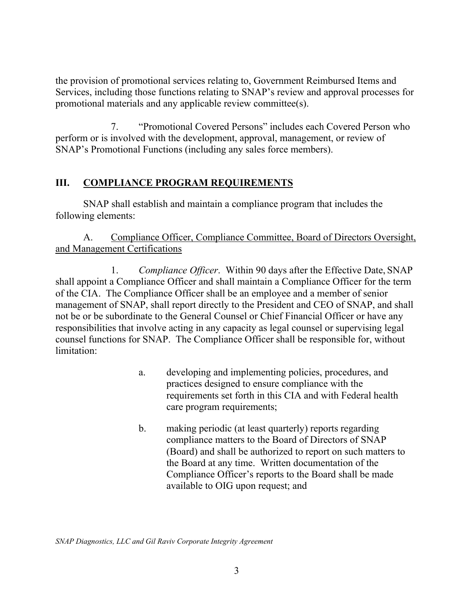the provision of promotional services relating to, Government Reimbursed Items and Services, including those functions relating to SNAP's review and approval processes for promotional materials and any applicable review committee(s).

7. "Promotional Covered Persons" includes each Covered Person who perform or is involved with the development, approval, management, or review of SNAP's Promotional Functions (including any sales force members).

## **III. COMPLIANCE PROGRAM REQUIREMENTS**

SNAP shall establish and maintain a compliance program that includes the following elements:

## A. Compliance Officer, Compliance Committee, Board of Directors Oversight, and Management Certifications

1. *Compliance Officer*. Within 90 days after the Effective Date, SNAP shall appoint a Compliance Officer and shall maintain a Compliance Officer for the term of the CIA. The Compliance Officer shall be an employee and a member of senior management of SNAP, shall report directly to the President and CEO of SNAP, and shall not be or be subordinate to the General Counsel or Chief Financial Officer or have any responsibilities that involve acting in any capacity as legal counsel or supervising legal counsel functions for SNAP. The Compliance Officer shall be responsible for, without limitation:

- a. developing and implementing policies, procedures, and practices designed to ensure compliance with the requirements set forth in this CIA and with Federal health care program requirements;
- b. making periodic (at least quarterly) reports regarding compliance matters to the Board of Directors of SNAP (Board) and shall be authorized to report on such matters to the Board at any time. Written documentation of the Compliance Officer's reports to the Board shall be made available to OIG upon request; and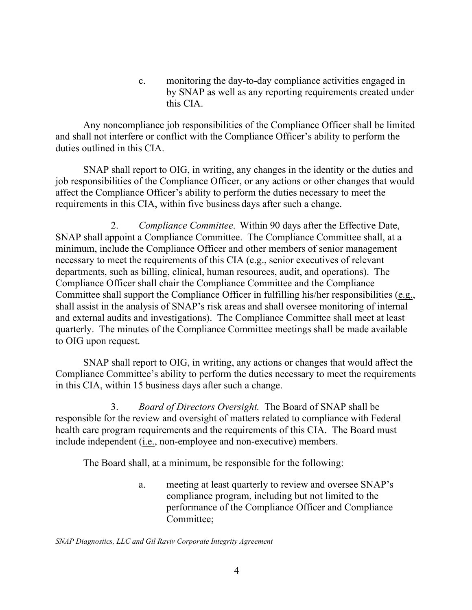c. monitoring the day-to-day compliance activities engaged in by SNAP as well as any reporting requirements created under this CIA.

Any noncompliance job responsibilities of the Compliance Officer shall be limited and shall not interfere or conflict with the Compliance Officer's ability to perform the duties outlined in this CIA.

SNAP shall report to OIG, in writing, any changes in the identity or the duties and job responsibilities of the Compliance Officer, or any actions or other changes that would affect the Compliance Officer's ability to perform the duties necessary to meet the requirements in this CIA, within five business days after such a change.

2. *Compliance Committee*. Within 90 days after the Effective Date, SNAP shall appoint a Compliance Committee. The Compliance Committee shall, at a minimum, include the Compliance Officer and other members of senior management necessary to meet the requirements of this CIA (e.g., senior executives of relevant departments, such as billing, clinical, human resources, audit, and operations). The Compliance Officer shall chair the Compliance Committee and the Compliance Committee shall support the Compliance Officer in fulfilling his/her responsibilities (e.g., shall assist in the analysis of SNAP's risk areas and shall oversee monitoring of internal and external audits and investigations). The Compliance Committee shall meet at least quarterly. The minutes of the Compliance Committee meetings shall be made available to OIG upon request.

SNAP shall report to OIG, in writing, any actions or changes that would affect the Compliance Committee's ability to perform the duties necessary to meet the requirements in this CIA, within 15 business days after such a change.

3. *Board of Directors Oversight.* The Board of SNAP shall be responsible for the review and oversight of matters related to compliance with Federal health care program requirements and the requirements of this CIA. The Board must include independent (i.e., non-employee and non-executive) members.

The Board shall, at a minimum, be responsible for the following:

a. meeting at least quarterly to review and oversee SNAP's compliance program, including but not limited to the performance of the Compliance Officer and Compliance Committee;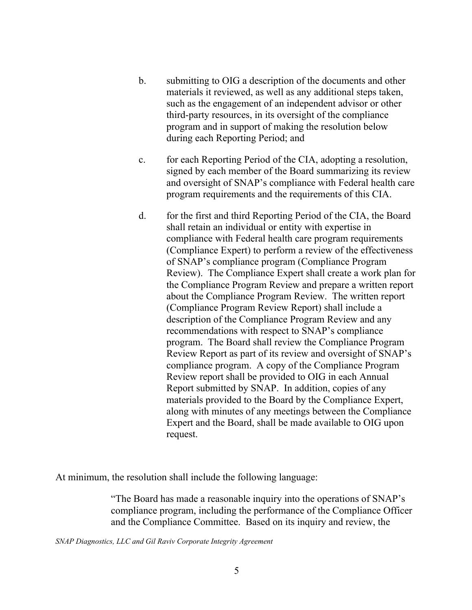- b. submitting to OIG a description of the documents and other materials it reviewed, as well as any additional steps taken, such as the engagement of an independent advisor or other third-party resources, in its oversight of the compliance program and in support of making the resolution below during each Reporting Period; and
- c. for each Reporting Period of the CIA, adopting a resolution, signed by each member of the Board summarizing its review and oversight of SNAP's compliance with Federal health care program requirements and the requirements of this CIA.
- d. for the first and third Reporting Period of the CIA, the Board shall retain an individual or entity with expertise in compliance with Federal health care program requirements (Compliance Expert) to perform a review of the effectiveness of SNAP's compliance program (Compliance Program Review). The Compliance Expert shall create a work plan for the Compliance Program Review and prepare a written report about the Compliance Program Review. The written report (Compliance Program Review Report) shall include a description of the Compliance Program Review and any recommendations with respect to SNAP's compliance program. The Board shall review the Compliance Program Review Report as part of its review and oversight of SNAP's compliance program. A copy of the Compliance Program Review report shall be provided to OIG in each Annual Report submitted by SNAP. In addition, copies of any materials provided to the Board by the Compliance Expert, along with minutes of any meetings between the Compliance Expert and the Board, shall be made available to OIG upon request.

At minimum, the resolution shall include the following language:

"The Board has made a reasonable inquiry into the operations of SNAP's compliance program, including the performance of the Compliance Officer and the Compliance Committee. Based on its inquiry and review, the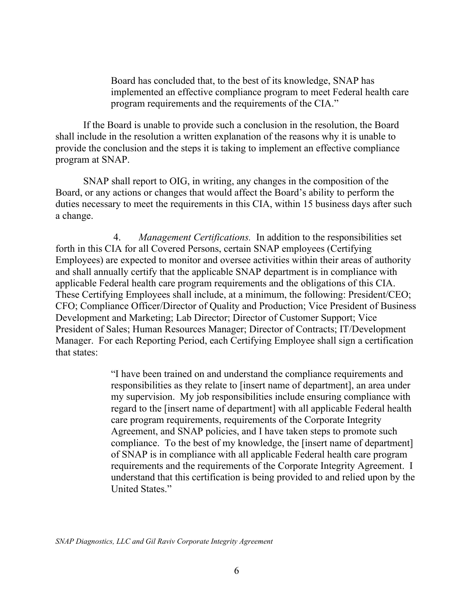Board has concluded that, to the best of its knowledge, SNAP has implemented an effective compliance program to meet Federal health care program requirements and the requirements of the CIA."

If the Board is unable to provide such a conclusion in the resolution, the Board shall include in the resolution a written explanation of the reasons why it is unable to provide the conclusion and the steps it is taking to implement an effective compliance program at SNAP.

SNAP shall report to OIG, in writing, any changes in the composition of the Board, or any actions or changes that would affect the Board's ability to perform the duties necessary to meet the requirements in this CIA, within 15 business days after such a change.

4. *Management Certifications.* In addition to the responsibilities set forth in this CIA for all Covered Persons, certain SNAP employees (Certifying Employees) are expected to monitor and oversee activities within their areas of authority and shall annually certify that the applicable SNAP department is in compliance with applicable Federal health care program requirements and the obligations of this CIA. These Certifying Employees shall include, at a minimum, the following: President/CEO; CFO; Compliance Officer/Director of Quality and Production; Vice President of Business Development and Marketing; Lab Director; Director of Customer Support; Vice President of Sales; Human Resources Manager; Director of Contracts; IT/Development Manager. For each Reporting Period, each Certifying Employee shall sign a certification that states:

> "I have been trained on and understand the compliance requirements and responsibilities as they relate to [insert name of department], an area under my supervision. My job responsibilities include ensuring compliance with regard to the [insert name of department] with all applicable Federal health care program requirements, requirements of the Corporate Integrity Agreement, and SNAP policies, and I have taken steps to promote such compliance. To the best of my knowledge, the [insert name of department] of SNAP is in compliance with all applicable Federal health care program requirements and the requirements of the Corporate Integrity Agreement. I understand that this certification is being provided to and relied upon by the United States."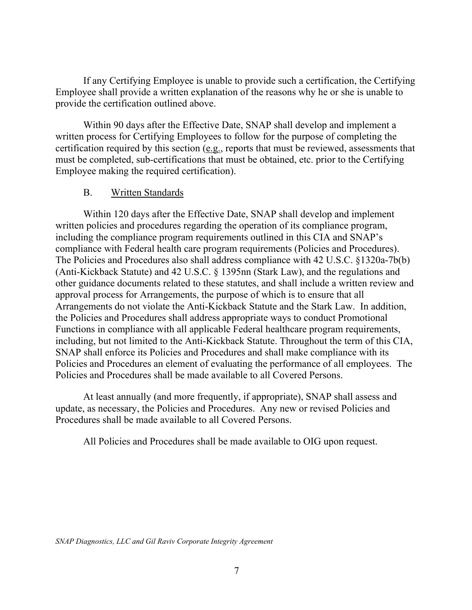If any Certifying Employee is unable to provide such a certification, the Certifying Employee shall provide a written explanation of the reasons why he or she is unable to provide the certification outlined above.

Within 90 days after the Effective Date, SNAP shall develop and implement a written process for Certifying Employees to follow for the purpose of completing the certification required by this section (e.g., reports that must be reviewed, assessments that must be completed, sub-certifications that must be obtained, etc. prior to the Certifying Employee making the required certification).

### B. Written Standards

Within 120 days after the Effective Date, SNAP shall develop and implement written policies and procedures regarding the operation of its compliance program, including the compliance program requirements outlined in this CIA and SNAP's compliance with Federal health care program requirements (Policies and Procedures). The Policies and Procedures also shall address compliance with 42 U.S.C. §1320a-7b(b) (Anti-Kickback Statute) and 42 U.S.C. § 1395nn (Stark Law), and the regulations and other guidance documents related to these statutes, and shall include a written review and approval process for Arrangements, the purpose of which is to ensure that all Arrangements do not violate the Anti-Kickback Statute and the Stark Law. In addition, the Policies and Procedures shall address appropriate ways to conduct Promotional Functions in compliance with all applicable Federal healthcare program requirements, including, but not limited to the Anti-Kickback Statute. Throughout the term of this CIA, SNAP shall enforce its Policies and Procedures and shall make compliance with its Policies and Procedures an element of evaluating the performance of all employees. The Policies and Procedures shall be made available to all Covered Persons.

At least annually (and more frequently, if appropriate), SNAP shall assess and update, as necessary, the Policies and Procedures. Any new or revised Policies and Procedures shall be made available to all Covered Persons.

All Policies and Procedures shall be made available to OIG upon request.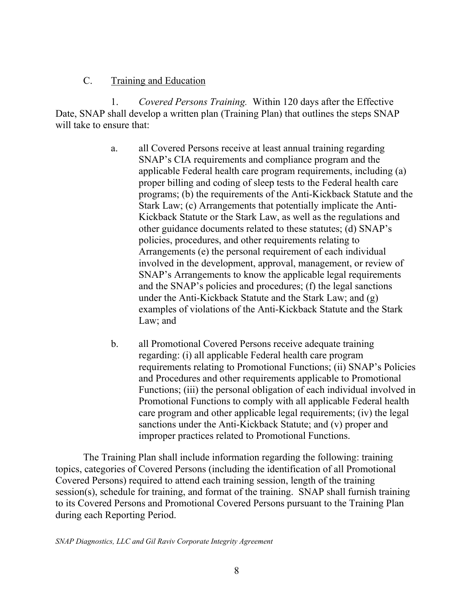### C. Training and Education

1. *Covered Persons Training.* Within 120 days after the Effective Date, SNAP shall develop a written plan (Training Plan) that outlines the steps SNAP will take to ensure that:

- a. all Covered Persons receive at least annual training regarding SNAP's CIA requirements and compliance program and the applicable Federal health care program requirements, including (a) proper billing and coding of sleep tests to the Federal health care programs; (b) the requirements of the Anti-Kickback Statute and the Stark Law; (c) Arrangements that potentially implicate the Anti-Kickback Statute or the Stark Law, as well as the regulations and other guidance documents related to these statutes; (d) SNAP's policies, procedures, and other requirements relating to Arrangements (e) the personal requirement of each individual involved in the development, approval, management, or review of SNAP's Arrangements to know the applicable legal requirements and the SNAP's policies and procedures; (f) the legal sanctions under the Anti-Kickback Statute and the Stark Law; and (g) examples of violations of the Anti-Kickback Statute and the Stark Law; and
- b. all Promotional Covered Persons receive adequate training regarding: (i) all applicable Federal health care program requirements relating to Promotional Functions; (ii) SNAP's Policies and Procedures and other requirements applicable to Promotional Functions; (iii) the personal obligation of each individual involved in Promotional Functions to comply with all applicable Federal health care program and other applicable legal requirements; (iv) the legal sanctions under the Anti-Kickback Statute; and (v) proper and improper practices related to Promotional Functions.

The Training Plan shall include information regarding the following: training topics, categories of Covered Persons (including the identification of all Promotional Covered Persons) required to attend each training session, length of the training session(s), schedule for training, and format of the training. SNAP shall furnish training to its Covered Persons and Promotional Covered Persons pursuant to the Training Plan during each Reporting Period.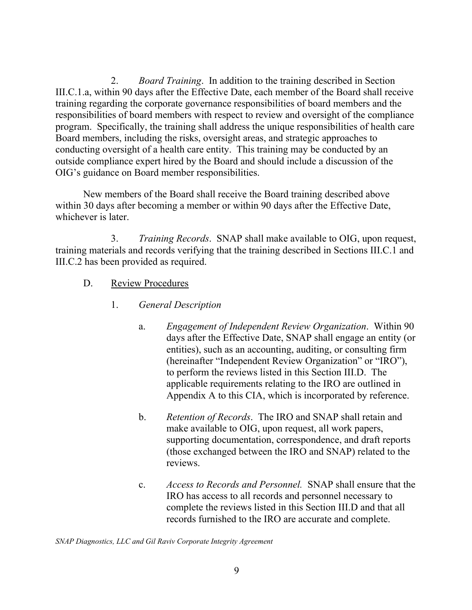2. *Board Training*. In addition to the training described in Section III.C.1.a, within 90 days after the Effective Date, each member of the Board shall receive training regarding the corporate governance responsibilities of board members and the responsibilities of board members with respect to review and oversight of the compliance program. Specifically, the training shall address the unique responsibilities of health care Board members, including the risks, oversight areas, and strategic approaches to conducting oversight of a health care entity. This training may be conducted by an outside compliance expert hired by the Board and should include a discussion of the OIG's guidance on Board member responsibilities.

New members of the Board shall receive the Board training described above within 30 days after becoming a member or within 90 days after the Effective Date, whichever is later.

3. *Training Records*. SNAP shall make available to OIG, upon request, training materials and records verifying that the training described in Sections III.C.1 and III.C.2 has been provided as required.

- D. Review Procedures
	- 1. *General Description* 
		- a. *Engagement of Independent Review Organization*. Within 90 days after the Effective Date, SNAP shall engage an entity (or entities), such as an accounting, auditing, or consulting firm (hereinafter "Independent Review Organization" or "IRO"), to perform the reviews listed in this Section III.D. The applicable requirements relating to the IRO are outlined in Appendix A to this CIA, which is incorporated by reference.
		- b. *Retention of Records*. The IRO and SNAP shall retain and make available to OIG, upon request, all work papers, supporting documentation, correspondence, and draft reports (those exchanged between the IRO and SNAP) related to the reviews.
		- c. *Access to Records and Personnel.* SNAP shall ensure that the IRO has access to all records and personnel necessary to complete the reviews listed in this Section III.D and that all records furnished to the IRO are accurate and complete.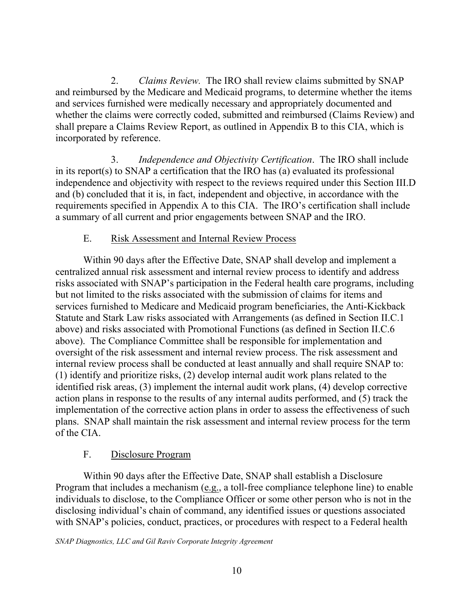2. *Claims Review.* The IRO shall review claims submitted by SNAP and reimbursed by the Medicare and Medicaid programs, to determine whether the items and services furnished were medically necessary and appropriately documented and whether the claims were correctly coded, submitted and reimbursed (Claims Review) and shall prepare a Claims Review Report, as outlined in Appendix B to this CIA, which is incorporated by reference.

3. *Independence and Objectivity Certification*. The IRO shall include in its report(s) to SNAP a certification that the IRO has (a) evaluated its professional independence and objectivity with respect to the reviews required under this Section III.D and (b) concluded that it is, in fact, independent and objective, in accordance with the requirements specified in Appendix A to this CIA. The IRO's certification shall include a summary of all current and prior engagements between SNAP and the IRO.

### E. Risk Assessment and Internal Review Process

Within 90 days after the Effective Date, SNAP shall develop and implement a centralized annual risk assessment and internal review process to identify and address risks associated with SNAP's participation in the Federal health care programs, including but not limited to the risks associated with the submission of claims for items and services furnished to Medicare and Medicaid program beneficiaries, the Anti-Kickback Statute and Stark Law risks associated with Arrangements (as defined in Section II.C.1 above) and risks associated with Promotional Functions (as defined in Section II.C.6 above). The Compliance Committee shall be responsible for implementation and oversight of the risk assessment and internal review process. The risk assessment and internal review process shall be conducted at least annually and shall require SNAP to: (1) identify and prioritize risks, (2) develop internal audit work plans related to the identified risk areas, (3) implement the internal audit work plans, (4) develop corrective action plans in response to the results of any internal audits performed, and (5) track the implementation of the corrective action plans in order to assess the effectiveness of such plans. SNAP shall maintain the risk assessment and internal review process for the term of the CIA.

### F. Disclosure Program

Within 90 days after the Effective Date, SNAP shall establish a Disclosure Program that includes a mechanism (e.g., a toll-free compliance telephone line) to enable individuals to disclose, to the Compliance Officer or some other person who is not in the disclosing individual's chain of command, any identified issues or questions associated with SNAP's policies, conduct, practices, or procedures with respect to a Federal health

*SNAP Diagnostics, LLC and Gil Raviv Corporate Integrity Agreement*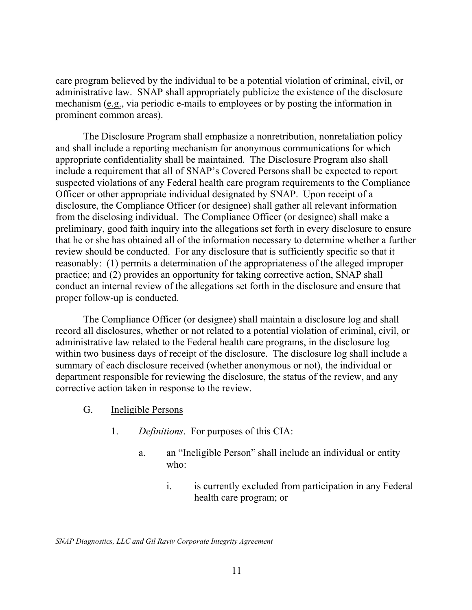care program believed by the individual to be a potential violation of criminal, civil, or administrative law. SNAP shall appropriately publicize the existence of the disclosure mechanism (e.g., via periodic e-mails to employees or by posting the information in prominent common areas).

The Disclosure Program shall emphasize a nonretribution, nonretaliation policy and shall include a reporting mechanism for anonymous communications for which appropriate confidentiality shall be maintained. The Disclosure Program also shall include a requirement that all of SNAP's Covered Persons shall be expected to report suspected violations of any Federal health care program requirements to the Compliance Officer or other appropriate individual designated by SNAP. Upon receipt of a disclosure, the Compliance Officer (or designee) shall gather all relevant information from the disclosing individual. The Compliance Officer (or designee) shall make a preliminary, good faith inquiry into the allegations set forth in every disclosure to ensure that he or she has obtained all of the information necessary to determine whether a further review should be conducted. For any disclosure that is sufficiently specific so that it reasonably: (1) permits a determination of the appropriateness of the alleged improper practice; and (2) provides an opportunity for taking corrective action, SNAP shall conduct an internal review of the allegations set forth in the disclosure and ensure that proper follow-up is conducted.

The Compliance Officer (or designee) shall maintain a disclosure log and shall record all disclosures, whether or not related to a potential violation of criminal, civil, or administrative law related to the Federal health care programs, in the disclosure log within two business days of receipt of the disclosure. The disclosure log shall include a summary of each disclosure received (whether anonymous or not), the individual or department responsible for reviewing the disclosure, the status of the review, and any corrective action taken in response to the review.

- G. Ineligible Persons
	- 1. *Definitions*. For purposes of this CIA:
		- a. an "Ineligible Person" shall include an individual or entity who:
			- i. is currently excluded from participation in any Federal health care program; or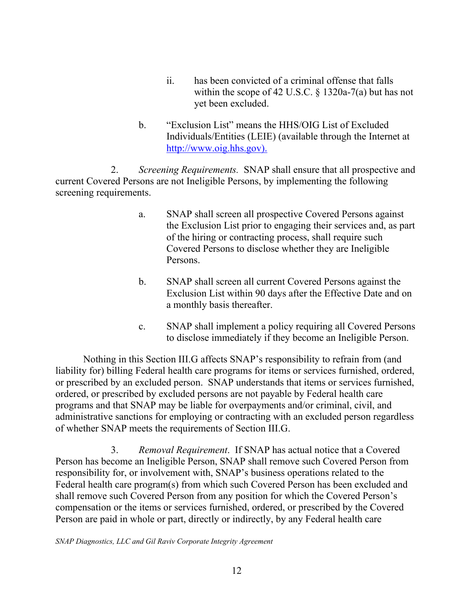- ii. has been convicted of a criminal offense that falls within the scope of 42 U.S.C. § 1320a-7(a) but has not yet been excluded.
- b. "Exclusion List" means the HHS/OIG List of Excluded Individuals/Entities (LEIE) (available through the Internet at <http://www.oig.hhs.gov>).

2. *Screening Requirements.* SNAP shall ensure that all prospective and current Covered Persons are not Ineligible Persons, by implementing the following screening requirements.

- a. SNAP shall screen all prospective Covered Persons against the Exclusion List prior to engaging their services and, as part of the hiring or contracting process, shall require such Covered Persons to disclose whether they are Ineligible Persons.
- b. SNAP shall screen all current Covered Persons against the Exclusion List within 90 days after the Effective Date and on a monthly basis thereafter.
- c. SNAP shall implement a policy requiring all Covered Persons to disclose immediately if they become an Ineligible Person.

Nothing in this Section III.G affects SNAP's responsibility to refrain from (and liability for) billing Federal health care programs for items or services furnished, ordered, or prescribed by an excluded person. SNAP understands that items or services furnished, ordered, or prescribed by excluded persons are not payable by Federal health care programs and that SNAP may be liable for overpayments and/or criminal, civil, and administrative sanctions for employing or contracting with an excluded person regardless of whether SNAP meets the requirements of Section III.G.

3. *Removal Requirement*. If SNAP has actual notice that a Covered Person has become an Ineligible Person, SNAP shall remove such Covered Person from responsibility for, or involvement with, SNAP's business operations related to the Federal health care program(s) from which such Covered Person has been excluded and shall remove such Covered Person from any position for which the Covered Person's compensation or the items or services furnished, ordered, or prescribed by the Covered Person are paid in whole or part, directly or indirectly, by any Federal health care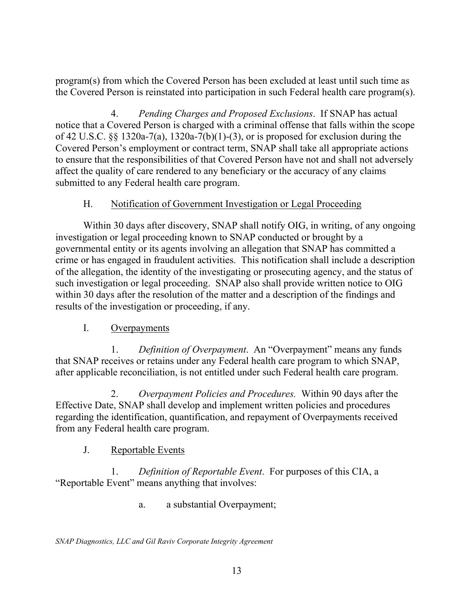program(s) from which the Covered Person has been excluded at least until such time as the Covered Person is reinstated into participation in such Federal health care program(s).

4. *Pending Charges and Proposed Exclusions*. If SNAP has actual notice that a Covered Person is charged with a criminal offense that falls within the scope of 42 U.S.C. §§ 1320a-7(a), 1320a-7(b)(1)-(3), or is proposed for exclusion during the Covered Person's employment or contract term, SNAP shall take all appropriate actions to ensure that the responsibilities of that Covered Person have not and shall not adversely affect the quality of care rendered to any beneficiary or the accuracy of any claims submitted to any Federal health care program.

### H. Notification of Government Investigation or Legal Proceeding

Within 30 days after discovery, SNAP shall notify OIG, in writing, of any ongoing investigation or legal proceeding known to SNAP conducted or brought by a governmental entity or its agents involving an allegation that SNAP has committed a crime or has engaged in fraudulent activities. This notification shall include a description of the allegation, the identity of the investigating or prosecuting agency, and the status of such investigation or legal proceeding. SNAP also shall provide written notice to OIG within 30 days after the resolution of the matter and a description of the findings and results of the investigation or proceeding, if any.

### I. Overpayments

1. *Definition of Overpayment*. An "Overpayment" means any funds that SNAP receives or retains under any Federal health care program to which SNAP, after applicable reconciliation, is not entitled under such Federal health care program.

2. *Overpayment Policies and Procedures.* Within 90 days after the Effective Date, SNAP shall develop and implement written policies and procedures regarding the identification, quantification, and repayment of Overpayments received from any Federal health care program.

## J. Reportable Events

1. *Definition of Reportable Event*. For purposes of this CIA, a "Reportable Event" means anything that involves:

a. a substantial Overpayment;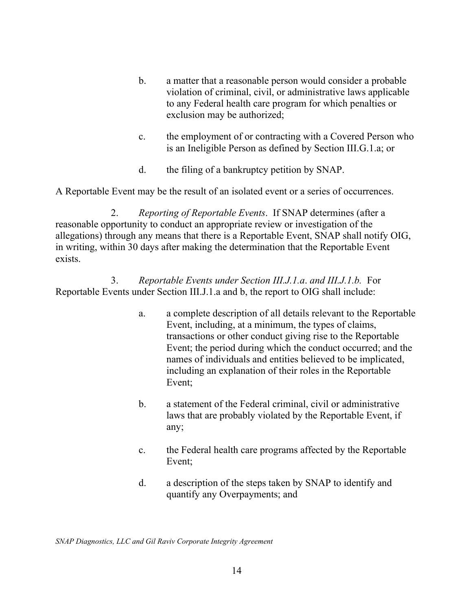- b. a matter that a reasonable person would consider a probable violation of criminal, civil, or administrative laws applicable to any Federal health care program for which penalties or exclusion may be authorized;
- c. the employment of or contracting with a Covered Person who is an Ineligible Person as defined by Section III.G.1.a; or
- d. the filing of a bankruptcy petition by SNAP.

A Reportable Event may be the result of an isolated event or a series of occurrences.

2. *Reporting of Reportable Events*. If SNAP determines (after a reasonable opportunity to conduct an appropriate review or investigation of the allegations) through any means that there is a Reportable Event, SNAP shall notify OIG, in writing, within 30 days after making the determination that the Reportable Event exists.

3. *Reportable Events under Section III.J.1.a*. *and III.J.1.b.* For Reportable Events under Section III.J.1.a and b, the report to OIG shall include:

- a. a complete description of all details relevant to the Reportable Event, including, at a minimum, the types of claims, transactions or other conduct giving rise to the Reportable Event; the period during which the conduct occurred; and the names of individuals and entities believed to be implicated, including an explanation of their roles in the Reportable Event;
- b. a statement of the Federal criminal, civil or administrative laws that are probably violated by the Reportable Event, if any;
- c. the Federal health care programs affected by the Reportable Event;
- d. a description of the steps taken by SNAP to identify and quantify any Overpayments; and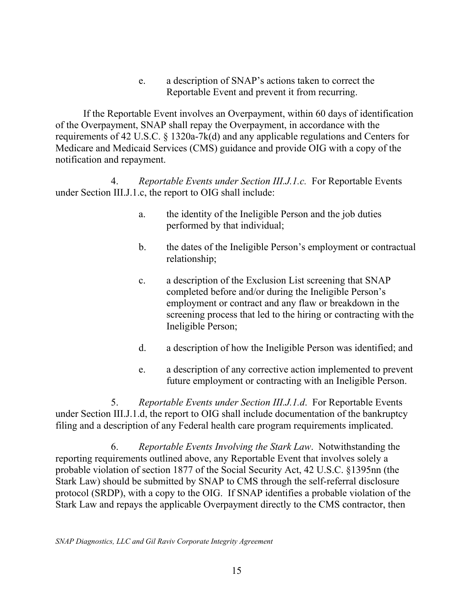e. a description of SNAP's actions taken to correct the Reportable Event and prevent it from recurring.

If the Reportable Event involves an Overpayment, within 60 days of identification of the Overpayment, SNAP shall repay the Overpayment, in accordance with the requirements of 42 U.S.C. § 1320a-7k(d) and any applicable regulations and Centers for Medicare and Medicaid Services (CMS) guidance and provide OIG with a copy of the notification and repayment.

4. *Reportable Events under Section III.J.1.c.* For Reportable Events under Section III.J.1.c, the report to OIG shall include:

- a. the identity of the Ineligible Person and the job duties performed by that individual;
- b. the dates of the Ineligible Person's employment or contractual relationship;
- c. a description of the Exclusion List screening that SNAP completed before and/or during the Ineligible Person's employment or contract and any flaw or breakdown in the screening process that led to the hiring or contracting with the Ineligible Person;
- d. a description of how the Ineligible Person was identified; and
- e. a description of any corrective action implemented to prevent future employment or contracting with an Ineligible Person.

5. *Reportable Events under Section III.J.1.d*. For Reportable Events under Section III.J.1.d, the report to OIG shall include documentation of the bankruptcy filing and a description of any Federal health care program requirements implicated.

6. *Reportable Events Involving the Stark Law*. Notwithstanding the reporting requirements outlined above, any Reportable Event that involves solely a probable violation of section 1877 of the Social Security Act, 42 U.S.C. §1395nn (the Stark Law) should be submitted by SNAP to CMS through the self-referral disclosure protocol (SRDP), with a copy to the OIG. If SNAP identifies a probable violation of the Stark Law and repays the applicable Overpayment directly to the CMS contractor, then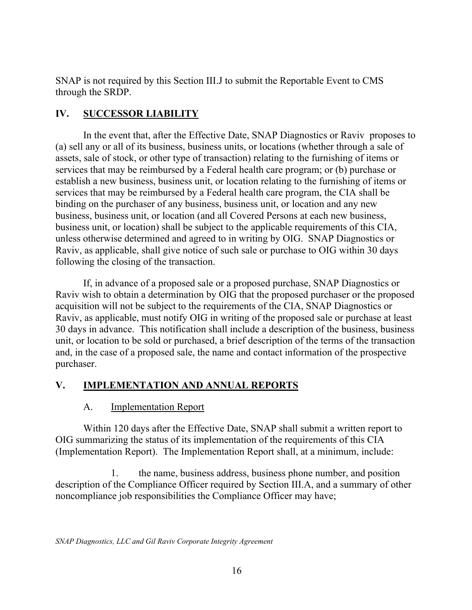SNAP is not required by this Section III.J to submit the Reportable Event to CMS through the SRDP.

## **IV. SUCCESSOR LIABILITY**

In the event that, after the Effective Date, SNAP Diagnostics or Raviv proposes to (a) sell any or all of its business, business units, or locations (whether through a sale of assets, sale of stock, or other type of transaction) relating to the furnishing of items or services that may be reimbursed by a Federal health care program; or (b) purchase or establish a new business, business unit, or location relating to the furnishing of items or services that may be reimbursed by a Federal health care program, the CIA shall be binding on the purchaser of any business, business unit, or location and any new business, business unit, or location (and all Covered Persons at each new business, business unit, or location) shall be subject to the applicable requirements of this CIA, unless otherwise determined and agreed to in writing by OIG. SNAP Diagnostics or Raviv, as applicable, shall give notice of such sale or purchase to OIG within 30 days following the closing of the transaction.

If, in advance of a proposed sale or a proposed purchase, SNAP Diagnostics or Raviv wish to obtain a determination by OIG that the proposed purchaser or the proposed acquisition will not be subject to the requirements of the CIA, SNAP Diagnostics or Raviv, as applicable, must notify OIG in writing of the proposed sale or purchase at least 30 days in advance. This notification shall include a description of the business, business unit, or location to be sold or purchased, a brief description of the terms of the transaction and, in the case of a proposed sale, the name and contact information of the prospective purchaser.

## **V. IMPLEMENTATION AND ANNUAL REPORTS**

## A. Implementation Report

Within 120 days after the Effective Date, SNAP shall submit a written report to OIG summarizing the status of its implementation of the requirements of this CIA (Implementation Report). The Implementation Report shall, at a minimum, include:

1. the name, business address, business phone number, and position description of the Compliance Officer required by Section III.A, and a summary of other noncompliance job responsibilities the Compliance Officer may have;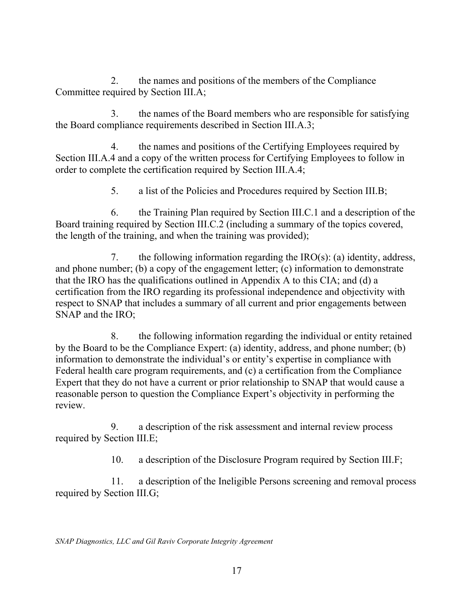2. the names and positions of the members of the Compliance Committee required by Section III.A;

3. the names of the Board members who are responsible for satisfying the Board compliance requirements described in Section III.A.3;

4. the names and positions of the Certifying Employees required by Section III.A.4 and a copy of the written process for Certifying Employees to follow in order to complete the certification required by Section III.A.4;

5. a list of the Policies and Procedures required by Section III.B;

6. the Training Plan required by Section III.C.1 and a description of the Board training required by Section III.C.2 (including a summary of the topics covered, the length of the training, and when the training was provided);

7. the following information regarding the  $\text{IRO}(s)$ : (a) identity, address, and phone number; (b) a copy of the engagement letter; (c) information to demonstrate that the IRO has the qualifications outlined in Appendix A to this CIA; and (d) a certification from the IRO regarding its professional independence and objectivity with respect to SNAP that includes a summary of all current and prior engagements between SNAP and the IRO;

8. the following information regarding the individual or entity retained by the Board to be the Compliance Expert: (a) identity, address, and phone number; (b) information to demonstrate the individual's or entity's expertise in compliance with Federal health care program requirements, and (c) a certification from the Compliance Expert that they do not have a current or prior relationship to SNAP that would cause a reasonable person to question the Compliance Expert's objectivity in performing the review.

9. a description of the risk assessment and internal review process required by Section III.E;

10. a description of the Disclosure Program required by Section III.F;

11. a description of the Ineligible Persons screening and removal process required by Section III.G;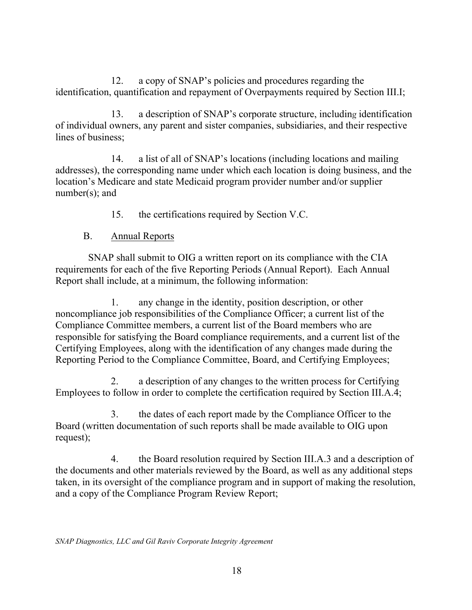12. a copy of SNAP's policies and procedures regarding the identification, quantification and repayment of Overpayments required by Section III.I;

13. a description of SNAP's corporate structure, including identification of individual owners, any parent and sister companies, subsidiaries, and their respective lines of business;

14. a list of all of SNAP's locations (including locations and mailing addresses), the corresponding name under which each location is doing business, and the location's Medicare and state Medicaid program provider number and/or supplier number(s); and

15. the certifications required by Section V.C.

## B. Annual Reports

SNAP shall submit to OIG a written report on its compliance with the CIA requirements for each of the five Reporting Periods (Annual Report). Each Annual Report shall include, at a minimum, the following information:

1. any change in the identity, position description, or other noncompliance job responsibilities of the Compliance Officer; a current list of the Compliance Committee members, a current list of the Board members who are responsible for satisfying the Board compliance requirements, and a current list of the Certifying Employees, along with the identification of any changes made during the Reporting Period to the Compliance Committee, Board, and Certifying Employees;

2. a description of any changes to the written process for Certifying Employees to follow in order to complete the certification required by Section III.A.4;

3. the dates of each report made by the Compliance Officer to the Board (written documentation of such reports shall be made available to OIG upon request);

4. the Board resolution required by Section III.A.3 and a description of the documents and other materials reviewed by the Board, as well as any additional steps taken, in its oversight of the compliance program and in support of making the resolution, and a copy of the Compliance Program Review Report;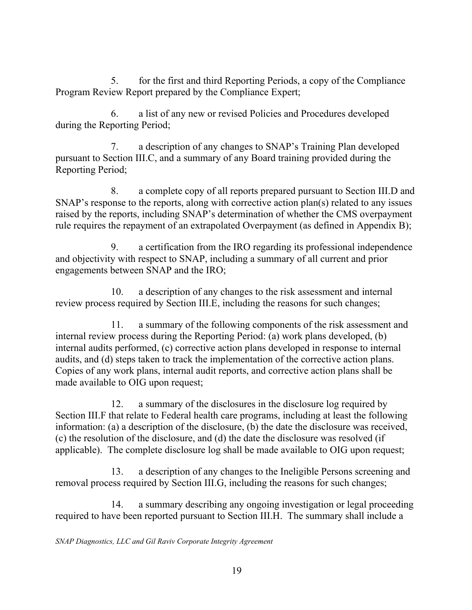5. for the first and third Reporting Periods, a copy of the Compliance Program Review Report prepared by the Compliance Expert;

6. a list of any new or revised Policies and Procedures developed during the Reporting Period;

7. a description of any changes to SNAP's Training Plan developed pursuant to Section III.C, and a summary of any Board training provided during the Reporting Period;

8. a complete copy of all reports prepared pursuant to Section III.D and SNAP's response to the reports, along with corrective action plan(s) related to any issues raised by the reports, including SNAP's determination of whether the CMS overpayment rule requires the repayment of an extrapolated Overpayment (as defined in Appendix B);

9. a certification from the IRO regarding its professional independence and objectivity with respect to SNAP, including a summary of all current and prior engagements between SNAP and the IRO;

10. a description of any changes to the risk assessment and internal review process required by Section III.E, including the reasons for such changes;

11. a summary of the following components of the risk assessment and internal review process during the Reporting Period: (a) work plans developed, (b) internal audits performed, (c) corrective action plans developed in response to internal audits, and (d) steps taken to track the implementation of the corrective action plans. Copies of any work plans, internal audit reports, and corrective action plans shall be made available to OIG upon request;

12. a summary of the disclosures in the disclosure log required by Section III.F that relate to Federal health care programs, including at least the following information: (a) a description of the disclosure, (b) the date the disclosure was received, (c) the resolution of the disclosure, and (d) the date the disclosure was resolved (if applicable). The complete disclosure log shall be made available to OIG upon request;

13. a description of any changes to the Ineligible Persons screening and removal process required by Section III.G, including the reasons for such changes;

14. a summary describing any ongoing investigation or legal proceeding required to have been reported pursuant to Section III.H. The summary shall include a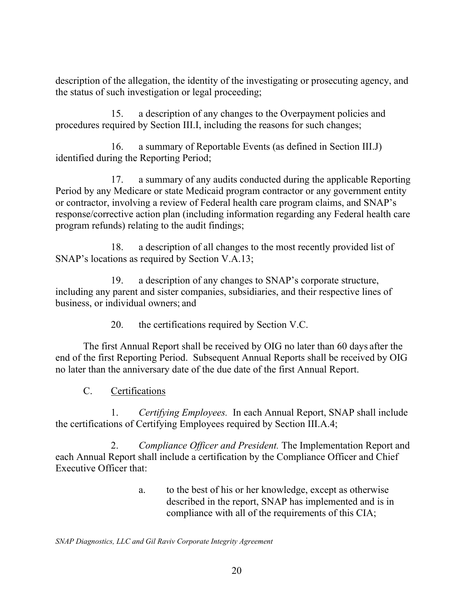description of the allegation, the identity of the investigating or prosecuting agency, and the status of such investigation or legal proceeding;

15. a description of any changes to the Overpayment policies and procedures required by Section III.I, including the reasons for such changes;

16. a summary of Reportable Events (as defined in Section III.J) identified during the Reporting Period;

17. a summary of any audits conducted during the applicable Reporting Period by any Medicare or state Medicaid program contractor or any government entity or contractor, involving a review of Federal health care program claims, and SNAP's response/corrective action plan (including information regarding any Federal health care program refunds) relating to the audit findings;

18. a description of all changes to the most recently provided list of SNAP's locations as required by Section V.A.13;

19. a description of any changes to SNAP's corporate structure, including any parent and sister companies, subsidiaries, and their respective lines of business, or individual owners; and

20. the certifications required by Section V.C.

The first Annual Report shall be received by OIG no later than 60 days after the end of the first Reporting Period. Subsequent Annual Reports shall be received by OIG no later than the anniversary date of the due date of the first Annual Report.

C. Certifications

1. *Certifying Employees.* In each Annual Report, SNAP shall include the certifications of Certifying Employees required by Section III.A.4;

2. *Compliance Officer and President.* The Implementation Report and each Annual Report shall include a certification by the Compliance Officer and Chief Executive Officer that:

> a. to the best of his or her knowledge, except as otherwise described in the report, SNAP has implemented and is in compliance with all of the requirements of this CIA;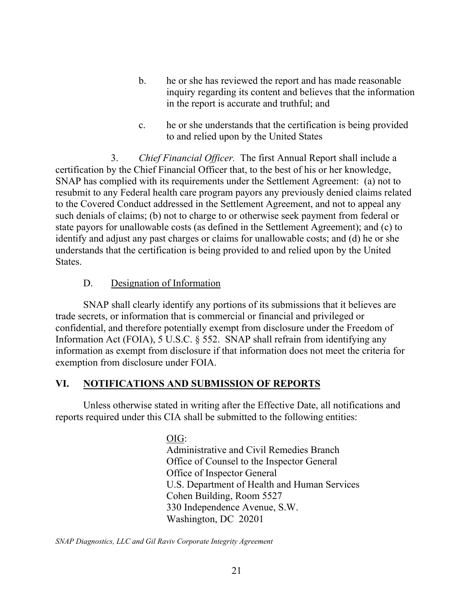- b. he or she has reviewed the report and has made reasonable inquiry regarding its content and believes that the information in the report is accurate and truthful; and
- c. he or she understands that the certification is being provided to and relied upon by the United States

3. *Chief Financial Officer.* The first Annual Report shall include a certification by the Chief Financial Officer that, to the best of his or her knowledge, SNAP has complied with its requirements under the Settlement Agreement: (a) not to resubmit to any Federal health care program payors any previously denied claims related to the Covered Conduct addressed in the Settlement Agreement, and not to appeal any such denials of claims; (b) not to charge to or otherwise seek payment from federal or state payors for unallowable costs (as defined in the Settlement Agreement); and (c) to identify and adjust any past charges or claims for unallowable costs; and (d) he or she understands that the certification is being provided to and relied upon by the United States.

### D. Designation of Information

SNAP shall clearly identify any portions of its submissions that it believes are trade secrets, or information that is commercial or financial and privileged or confidential, and therefore potentially exempt from disclosure under the Freedom of Information Act (FOIA), 5 U.S.C. § 552. SNAP shall refrain from identifying any information as exempt from disclosure if that information does not meet the criteria for exemption from disclosure under FOIA.

#### **VI. NOTIFICATIONS AND SUBMISSION OF REPORTS**

Unless otherwise stated in writing after the Effective Date, all notifications and reports required under this CIA shall be submitted to the following entities:

> OIG: Administrative and Civil Remedies Branch Office of Counsel to the Inspector General Office of Inspector General U.S. Department of Health and Human Services Cohen Building, Room 5527 330 Independence Avenue, S.W. Washington, DC 20201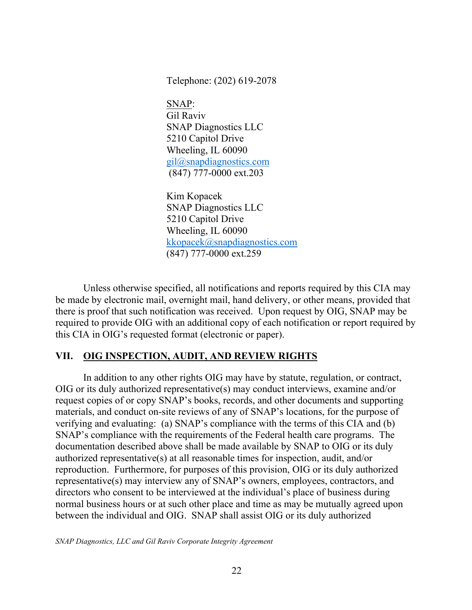Telephone: (202) 619-2078

SNAP: Gil Raviv SNAP Diagnostics LLC 5210 Capitol Drive Wheeling, IL 60090 [gil@snapdiagnostics.com](mailto:gil@snapdiagnostics.com)  (847) 777-0000 ext.203

Kim Kopacek SNAP Diagnostics LLC 5210 Capitol Drive Wheeling, IL 60090 [kkopacek@snapdiagnostics.com](mailto:kkopacek@snapdiagnostics.com)  (847) 777-0000 ext.259

Unless otherwise specified, all notifications and reports required by this CIA may be made by electronic mail, overnight mail, hand delivery, or other means, provided that there is proof that such notification was received. Upon request by OIG, SNAP may be required to provide OIG with an additional copy of each notification or report required by this CIA in OIG's requested format (electronic or paper).

#### **VII. OIG INSPECTION, AUDIT, AND REVIEW RIGHTS**

In addition to any other rights OIG may have by statute, regulation, or contract, OIG or its duly authorized representative(s) may conduct interviews, examine and/or request copies of or copy SNAP's books, records, and other documents and supporting materials, and conduct on-site reviews of any of SNAP's locations, for the purpose of verifying and evaluating: (a) SNAP's compliance with the terms of this CIA and (b) SNAP's compliance with the requirements of the Federal health care programs. The documentation described above shall be made available by SNAP to OIG or its duly authorized representative(s) at all reasonable times for inspection, audit, and/or reproduction. Furthermore, for purposes of this provision, OIG or its duly authorized representative(s) may interview any of SNAP's owners, employees, contractors, and directors who consent to be interviewed at the individual's place of business during normal business hours or at such other place and time as may be mutually agreed upon between the individual and OIG. SNAP shall assist OIG or its duly authorized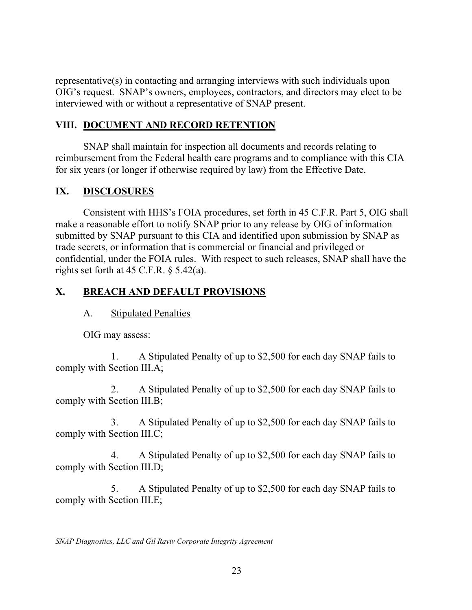representative(s) in contacting and arranging interviews with such individuals upon OIG's request. SNAP's owners, employees, contractors, and directors may elect to be interviewed with or without a representative of SNAP present.

### **VIII. DOCUMENT AND RECORD RETENTION**

SNAP shall maintain for inspection all documents and records relating to reimbursement from the Federal health care programs and to compliance with this CIA for six years (or longer if otherwise required by law) from the Effective Date.

### **IX. DISCLOSURES**

Consistent with HHS's FOIA procedures, set forth in 45 C.F.R. Part 5, OIG shall make a reasonable effort to notify SNAP prior to any release by OIG of information submitted by SNAP pursuant to this CIA and identified upon submission by SNAP as trade secrets, or information that is commercial or financial and privileged or confidential, under the FOIA rules. With respect to such releases, SNAP shall have the rights set forth at 45 C.F.R.  $\delta$  5.42(a).

## **X. BREACH AND DEFAULT PROVISIONS**

A. Stipulated Penalties

OIG may assess:

1. A Stipulated Penalty of up to \$2,500 for each day SNAP fails to comply with Section III.A;

2. A Stipulated Penalty of up to \$2,500 for each day SNAP fails to comply with Section III.B;

3. A Stipulated Penalty of up to \$2,500 for each day SNAP fails to comply with Section III.C;

4. A Stipulated Penalty of up to \$2,500 for each day SNAP fails to comply with Section III.D;

5. A Stipulated Penalty of up to \$2,500 for each day SNAP fails to comply with Section III.E;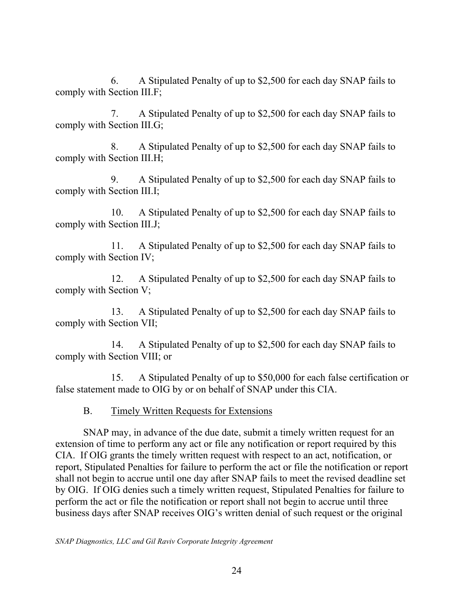6. A Stipulated Penalty of up to \$2,500 for each day SNAP fails to comply with Section III.F;

7. A Stipulated Penalty of up to \$2,500 for each day SNAP fails to comply with Section III.G;

8. A Stipulated Penalty of up to \$2,500 for each day SNAP fails to comply with Section III.H;

9. A Stipulated Penalty of up to \$2,500 for each day SNAP fails to comply with Section III.I;

10. A Stipulated Penalty of up to \$2,500 for each day SNAP fails to comply with Section III.J;

11. A Stipulated Penalty of up to \$2,500 for each day SNAP fails to comply with Section IV;

12. A Stipulated Penalty of up to \$2,500 for each day SNAP fails to comply with Section V;

13. A Stipulated Penalty of up to \$2,500 for each day SNAP fails to comply with Section VII;

14. A Stipulated Penalty of up to \$2,500 for each day SNAP fails to comply with Section VIII; or

15. A Stipulated Penalty of up to \$50,000 for each false certification or false statement made to OIG by or on behalf of SNAP under this CIA.

B. Timely Written Requests for Extensions

SNAP may, in advance of the due date, submit a timely written request for an extension of time to perform any act or file any notification or report required by this CIA. If OIG grants the timely written request with respect to an act, notification, or report, Stipulated Penalties for failure to perform the act or file the notification or report shall not begin to accrue until one day after SNAP fails to meet the revised deadline set by OIG. If OIG denies such a timely written request, Stipulated Penalties for failure to perform the act or file the notification or report shall not begin to accrue until three business days after SNAP receives OIG's written denial of such request or the original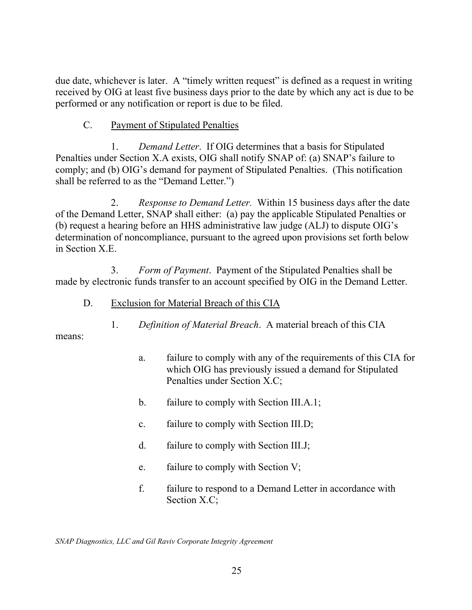due date, whichever is later. A "timely written request" is defined as a request in writing received by OIG at least five business days prior to the date by which any act is due to be performed or any notification or report is due to be filed.

### C. Payment of Stipulated Penalties

1. *Demand Letter*. If OIG determines that a basis for Stipulated Penalties under Section X.A exists, OIG shall notify SNAP of: (a) SNAP's failure to comply; and (b) OIG's demand for payment of Stipulated Penalties. (This notification shall be referred to as the "Demand Letter.")

2. *Response to Demand Letter.* Within 15 business days after the date of the Demand Letter, SNAP shall either: (a) pay the applicable Stipulated Penalties or (b) request a hearing before an HHS administrative law judge (ALJ) to dispute OIG's determination of noncompliance, pursuant to the agreed upon provisions set forth below in Section X.E.

3. *Form of Payment*. Payment of the Stipulated Penalties shall be made by electronic funds transfer to an account specified by OIG in the Demand Letter.

- D. Exclusion for Material Breach of this CIA
	- 1. *Definition of Material Breach*. A material breach of this CIA

means:

- a. failure to comply with any of the requirements of this CIA for which OIG has previously issued a demand for Stipulated Penalties under Section X.C;
- b. failure to comply with Section III.A.1;
- c. failure to comply with Section III.D;
- d. failure to comply with Section III.J;
- e. failure to comply with Section V;
- f. failure to respond to a Demand Letter in accordance with Section X.C;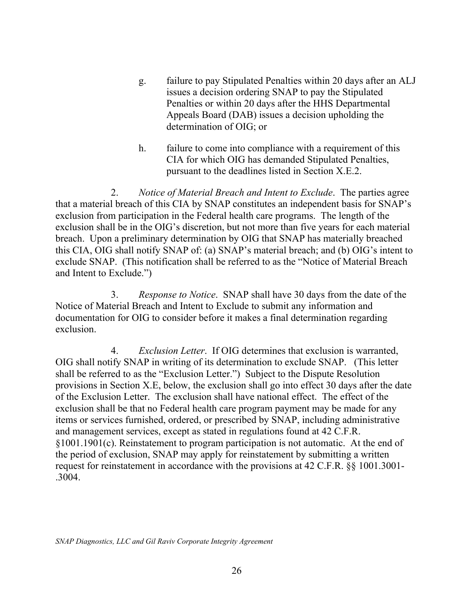- g. failure to pay Stipulated Penalties within 20 days after an ALJ issues a decision ordering SNAP to pay the Stipulated Penalties or within 20 days after the HHS Departmental Appeals Board (DAB) issues a decision upholding the determination of OIG; or
- h. failure to come into compliance with a requirement of this CIA for which OIG has demanded Stipulated Penalties, pursuant to the deadlines listed in Section X.E.2.

2. *Notice of Material Breach and Intent to Exclude*. The parties agree that a material breach of this CIA by SNAP constitutes an independent basis for SNAP's exclusion from participation in the Federal health care programs. The length of the exclusion shall be in the OIG's discretion, but not more than five years for each material breach. Upon a preliminary determination by OIG that SNAP has materially breached this CIA, OIG shall notify SNAP of: (a) SNAP's material breach; and (b) OIG's intent to exclude SNAP. (This notification shall be referred to as the "Notice of Material Breach and Intent to Exclude.")

3. *Response to Notice*. SNAP shall have 30 days from the date of the Notice of Material Breach and Intent to Exclude to submit any information and documentation for OIG to consider before it makes a final determination regarding exclusion.

4. *Exclusion Letter*. If OIG determines that exclusion is warranted, OIG shall notify SNAP in writing of its determination to exclude SNAP. (This letter shall be referred to as the "Exclusion Letter.") Subject to the Dispute Resolution provisions in Section X.E, below, the exclusion shall go into effect 30 days after the date of the Exclusion Letter. The exclusion shall have national effect. The effect of the exclusion shall be that no Federal health care program payment may be made for any items or services furnished, ordered, or prescribed by SNAP, including administrative and management services, except as stated in regulations found at 42 C.F.R. §1001.1901(c). Reinstatement to program participation is not automatic. At the end of the period of exclusion, SNAP may apply for reinstatement by submitting a written request for reinstatement in accordance with the provisions at 42 C.F.R. §§ 1001.3001- .3004.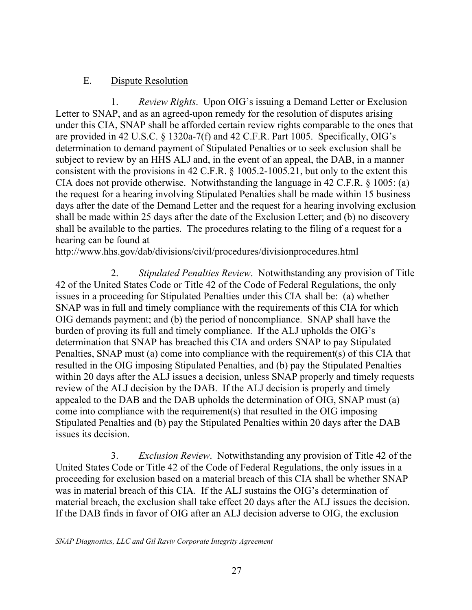### E. Dispute Resolution

1. *Review Rights*. Upon OIG's issuing a Demand Letter or Exclusion Letter to SNAP, and as an agreed-upon remedy for the resolution of disputes arising under this CIA, SNAP shall be afforded certain review rights comparable to the ones that are provided in 42 U.S.C. § 1320a-7(f) and 42 C.F.R. Part 1005. Specifically, OIG's determination to demand payment of Stipulated Penalties or to seek exclusion shall be subject to review by an HHS ALJ and, in the event of an appeal, the DAB, in a manner consistent with the provisions in 42 C.F.R. § [1005.2-1005.21,](https://1005.2-1005.21) but only to the extent this CIA does not provide otherwise. Notwithstanding the language in 42 C.F.R. § 1005: (a) the request for a hearing involving Stipulated Penalties shall be made within 15 business days after the date of the Demand Letter and the request for a hearing involving exclusion shall be made within 25 days after the date of the Exclusion Letter; and (b) no discovery shall be available to the parties. The procedures relating to the filing of a request for a hearing can be found at

<http://www.hhs.gov/dab/divisions/civil/procedures/divisionprocedures.html>

2. *Stipulated Penalties Review*. Notwithstanding any provision of Title 42 of the United States Code or Title 42 of the Code of Federal Regulations, the only issues in a proceeding for Stipulated Penalties under this CIA shall be: (a) whether SNAP was in full and timely compliance with the requirements of this CIA for which OIG demands payment; and (b) the period of noncompliance. SNAP shall have the burden of proving its full and timely compliance. If the ALJ upholds the OIG's determination that SNAP has breached this CIA and orders SNAP to pay Stipulated Penalties, SNAP must (a) come into compliance with the requirement(s) of this CIA that resulted in the OIG imposing Stipulated Penalties, and (b) pay the Stipulated Penalties within 20 days after the ALJ issues a decision, unless SNAP properly and timely requests review of the ALJ decision by the DAB. If the ALJ decision is properly and timely appealed to the DAB and the DAB upholds the determination of OIG, SNAP must (a) come into compliance with the requirement(s) that resulted in the OIG imposing Stipulated Penalties and (b) pay the Stipulated Penalties within 20 days after the DAB issues its decision.

3. *Exclusion Review*. Notwithstanding any provision of Title 42 of the United States Code or Title 42 of the Code of Federal Regulations, the only issues in a proceeding for exclusion based on a material breach of this CIA shall be whether SNAP was in material breach of this CIA. If the ALJ sustains the OIG's determination of material breach, the exclusion shall take effect 20 days after the ALJ issues the decision. If the DAB finds in favor of OIG after an ALJ decision adverse to OIG, the exclusion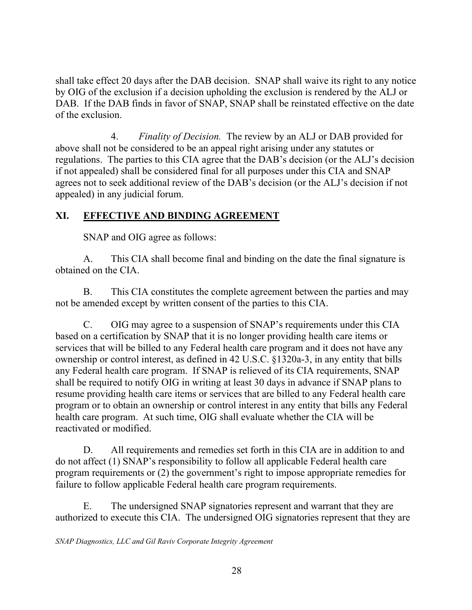shall take effect 20 days after the DAB decision. SNAP shall waive its right to any notice by OIG of the exclusion if a decision upholding the exclusion is rendered by the ALJ or DAB. If the DAB finds in favor of SNAP, SNAP shall be reinstated effective on the date of the exclusion.

4. *Finality of Decision.* The review by an ALJ or DAB provided for above shall not be considered to be an appeal right arising under any statutes or regulations. The parties to this CIA agree that the DAB's decision (or the ALJ's decision if not appealed) shall be considered final for all purposes under this CIA and SNAP agrees not to seek additional review of the DAB's decision (or the ALJ's decision if not appealed) in any judicial forum.

## **XI. EFFECTIVE AND BINDING AGREEMENT**

SNAP and OIG agree as follows:

A. This CIA shall become final and binding on the date the final signature is obtained on the CIA.

B. This CIA constitutes the complete agreement between the parties and may not be amended except by written consent of the parties to this CIA.

C. OIG may agree to a suspension of SNAP's requirements under this CIA based on a certification by SNAP that it is no longer providing health care items or services that will be billed to any Federal health care program and it does not have any ownership or control interest, as defined in 42 U.S.C. §1320a-3, in any entity that bills any Federal health care program. If SNAP is relieved of its CIA requirements, SNAP shall be required to notify OIG in writing at least 30 days in advance if SNAP plans to resume providing health care items or services that are billed to any Federal health care program or to obtain an ownership or control interest in any entity that bills any Federal health care program. At such time, OIG shall evaluate whether the CIA will be reactivated or modified.

D. All requirements and remedies set forth in this CIA are in addition to and do not affect (1) SNAP's responsibility to follow all applicable Federal health care program requirements or (2) the government's right to impose appropriate remedies for failure to follow applicable Federal health care program requirements.

E. The undersigned SNAP signatories represent and warrant that they are authorized to execute this CIA. The undersigned OIG signatories represent that they are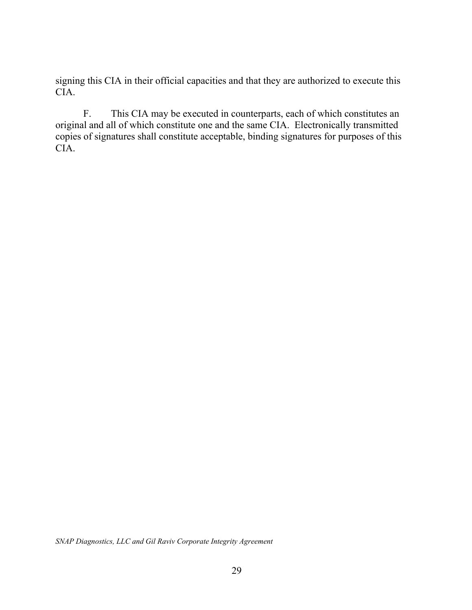signing this CIA in their official capacities and that they are authorized to execute this CIA.

F. This CIA may be executed in counterparts, each of which constitutes an original and all of which constitute one and the same CIA. Electronically transmitted copies of signatures shall constitute acceptable, binding signatures for purposes of this CIA.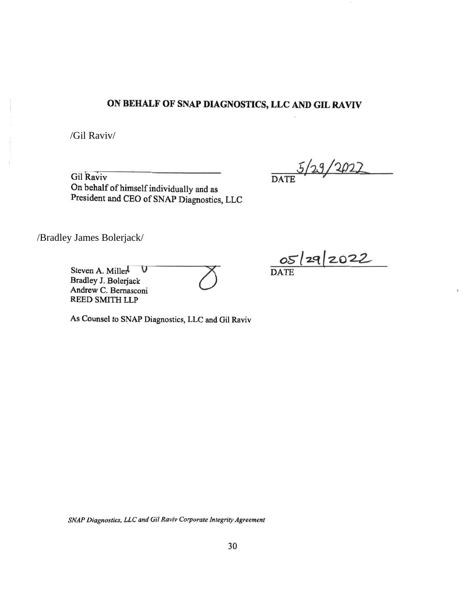# **ON BEHALF OF SNAP DIAGNOSTICS, LLC AND GIL RAVIV**

/Gil Raviv/

On behalf of himself individually and as President and CEO of SNAP Diagnostics, LLC

Gil Raviv **DATE** 5/29/2022

/Bradley James Bolerjack/

Steven A. Millerl **V** DATE

Andrew C. Bradley J. Bolerjack Ailler<sup>l</sup> **V**<br>Bolerjack<br>Bernasconi *2* REED SMITH LLP

As Counsel to SNAP Diagnostics, LLC and Gil Raviv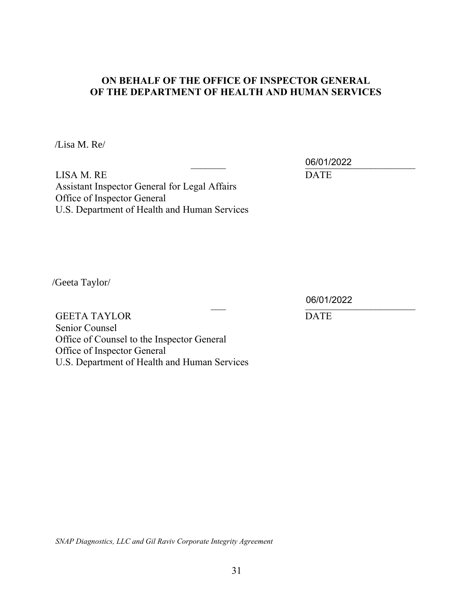### **ON BEHALF OF THE OFFICE OF INSPECTOR GENERAL OF THE DEPARTMENT OF HEALTH AND HUMAN SERVICES**

/Lisa M. Re/

 $06/01/2022$ 

LISA M. RE DATE Assistant Inspector General for Legal Affairs Office of Inspector General U.S. Department of Health and Human Services

/Geeta Taylor/

\_\_\_ \_\_\_\_\_\_\_\_\_\_\_\_\_\_\_\_\_\_\_\_\_\_ 06/01/2022

GEETA TAYLOR DATE Senior Counsel Office of Counsel to the Inspector General Office of Inspector General U.S. Department of Health and Human Services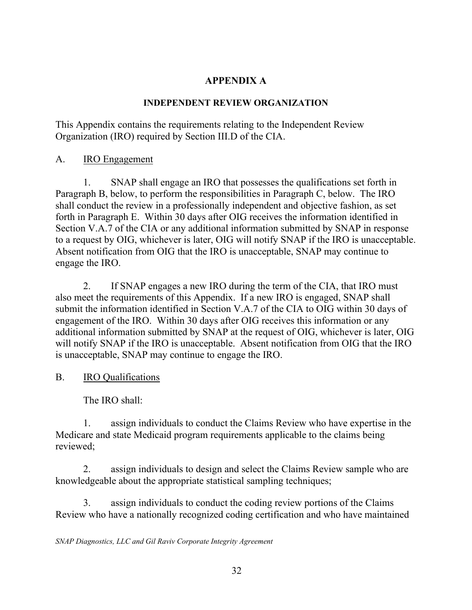## **APPENDIX A**

### **INDEPENDENT REVIEW ORGANIZATION**

This Appendix contains the requirements relating to the Independent Review Organization (IRO) required by Section III.D of the CIA.

A. IRO Engagement

1. SNAP shall engage an IRO that possesses the qualifications set forth in Paragraph B, below, to perform the responsibilities in Paragraph C, below. The IRO shall conduct the review in a professionally independent and objective fashion, as set forth in Paragraph E. Within 30 days after OIG receives the information identified in Section V.A.7 of the CIA or any additional information submitted by SNAP in response to a request by OIG, whichever is later, OIG will notify SNAP if the IRO is unacceptable. Absent notification from OIG that the IRO is unacceptable, SNAP may continue to engage the IRO.

2. If SNAP engages a new IRO during the term of the CIA, that IRO must also meet the requirements of this Appendix. If a new IRO is engaged, SNAP shall submit the information identified in Section V.A.7 of the CIA to OIG within 30 days of engagement of the IRO. Within 30 days after OIG receives this information or any additional information submitted by SNAP at the request of OIG, whichever is later, OIG will notify SNAP if the IRO is unacceptable. Absent notification from OIG that the IRO is unacceptable, SNAP may continue to engage the IRO.

B. IRO Qualifications

The IRO shall:

1. assign individuals to conduct the Claims Review who have expertise in the Medicare and state Medicaid program requirements applicable to the claims being reviewed;

2. assign individuals to design and select the Claims Review sample who are knowledgeable about the appropriate statistical sampling techniques;

3. assign individuals to conduct the coding review portions of the Claims Review who have a nationally recognized coding certification and who have maintained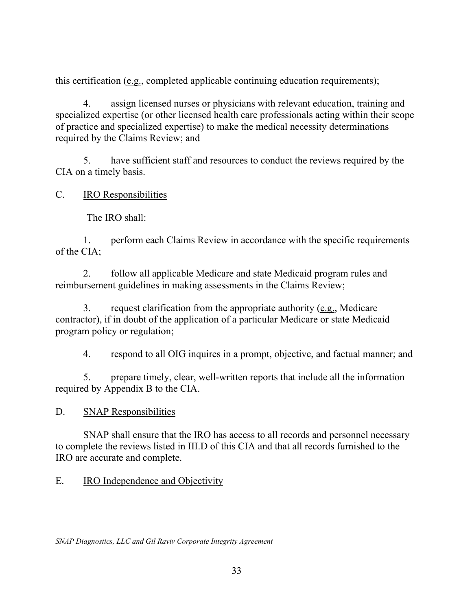this certification (e.g., completed applicable continuing education requirements);

4. assign licensed nurses or physicians with relevant education, training and specialized expertise (or other licensed health care professionals acting within their scope of practice and specialized expertise) to make the medical necessity determinations required by the Claims Review; and

5. have sufficient staff and resources to conduct the reviews required by the CIA on a timely basis.

C. IRO Responsibilities

The IRO shall:

1. perform each Claims Review in accordance with the specific requirements of the CIA;

2. follow all applicable Medicare and state Medicaid program rules and reimbursement guidelines in making assessments in the Claims Review;

3. request clarification from the appropriate authority (e.g., Medicare contractor), if in doubt of the application of a particular Medicare or state Medicaid program policy or regulation;

4. respond to all OIG inquires in a prompt, objective, and factual manner; and

5. prepare timely, clear, well-written reports that include all the information required by Appendix B to the CIA.

D. SNAP Responsibilities

SNAP shall ensure that the IRO has access to all records and personnel necessary to complete the reviews listed in III.D of this CIA and that all records furnished to the IRO are accurate and complete.

E. IRO Independence and Objectivity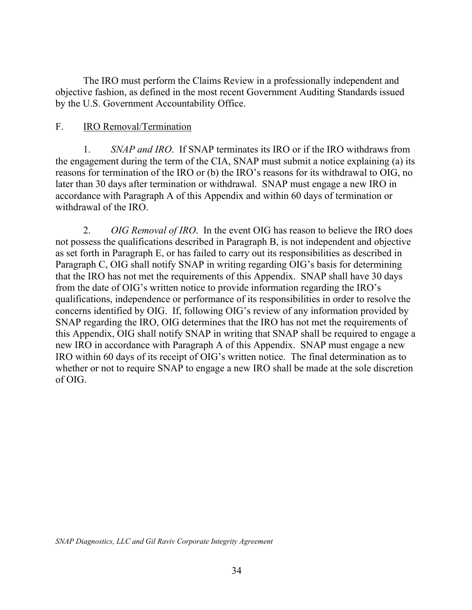The IRO must perform the Claims Review in a professionally independent and objective fashion, as defined in the most recent Government Auditing Standards issued by the U.S. Government Accountability Office.

### F. IRO Removal/Termination

1. *SNAP and IRO*. If SNAP terminates its IRO or if the IRO withdraws from the engagement during the term of the CIA, SNAP must submit a notice explaining (a) its reasons for termination of the IRO or (b) the IRO's reasons for its withdrawal to OIG, no later than 30 days after termination or withdrawal. SNAP must engage a new IRO in accordance with Paragraph A of this Appendix and within 60 days of termination or withdrawal of the IRO.

2. *OIG Removal of IRO*. In the event OIG has reason to believe the IRO does not possess the qualifications described in Paragraph B, is not independent and objective as set forth in Paragraph E, or has failed to carry out its responsibilities as described in Paragraph C, OIG shall notify SNAP in writing regarding OIG's basis for determining that the IRO has not met the requirements of this Appendix. SNAP shall have 30 days from the date of OIG's written notice to provide information regarding the IRO's qualifications, independence or performance of its responsibilities in order to resolve the concerns identified by OIG. If, following OIG's review of any information provided by SNAP regarding the IRO, OIG determines that the IRO has not met the requirements of this Appendix, OIG shall notify SNAP in writing that SNAP shall be required to engage a new IRO in accordance with Paragraph A of this Appendix. SNAP must engage a new IRO within 60 days of its receipt of OIG's written notice. The final determination as to whether or not to require SNAP to engage a new IRO shall be made at the sole discretion of OIG.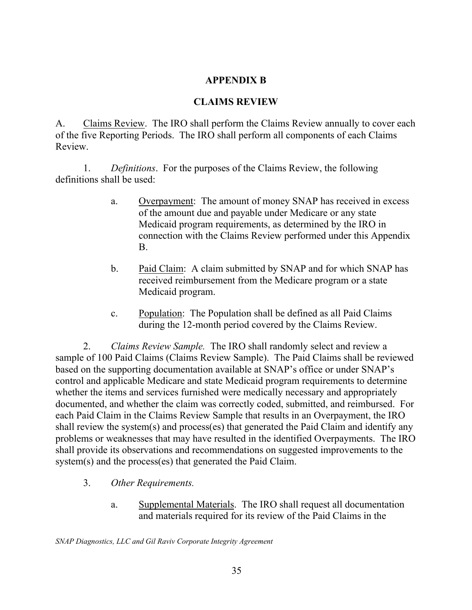### **APPENDIX B**

### **CLAIMS REVIEW**

A. Claims Review. The IRO shall perform the Claims Review annually to cover each of the five Reporting Periods. The IRO shall perform all components of each Claims Review.

1. *Definitions*. For the purposes of the Claims Review, the following definitions shall be used:

- a. Overpayment: The amount of money SNAP has received in excess of the amount due and payable under Medicare or any state Medicaid program requirements, as determined by the IRO in connection with the Claims Review performed under this Appendix B.
- b. Paid Claim: A claim submitted by SNAP and for which SNAP has received reimbursement from the Medicare program or a state Medicaid program.
- c. Population: The Population shall be defined as all Paid Claims during the 12-month period covered by the Claims Review.

2. *Claims Review Sample.* The IRO shall randomly select and review a sample of 100 Paid Claims (Claims Review Sample). The Paid Claims shall be reviewed based on the supporting documentation available at SNAP's office or under SNAP's control and applicable Medicare and state Medicaid program requirements to determine whether the items and services furnished were medically necessary and appropriately documented, and whether the claim was correctly coded, submitted, and reimbursed. For each Paid Claim in the Claims Review Sample that results in an Overpayment, the IRO shall review the system(s) and process(es) that generated the Paid Claim and identify any problems or weaknesses that may have resulted in the identified Overpayments. The IRO shall provide its observations and recommendations on suggested improvements to the system(s) and the process(es) that generated the Paid Claim.

- 3. *Other Requirements.* 
	- a. Supplemental Materials. The IRO shall request all documentation and materials required for its review of the Paid Claims in the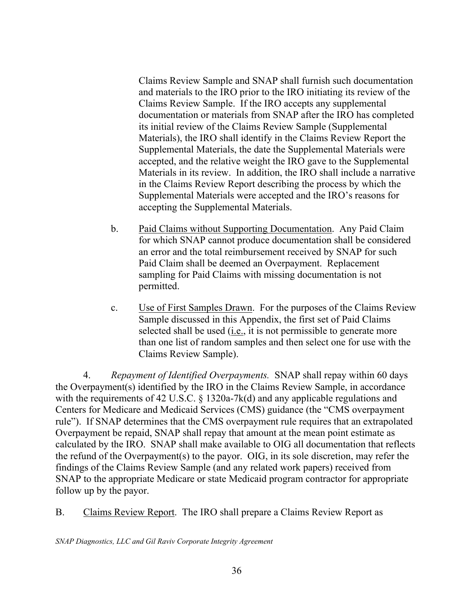Claims Review Sample and SNAP shall furnish such documentation and materials to the IRO prior to the IRO initiating its review of the Claims Review Sample. If the IRO accepts any supplemental documentation or materials from SNAP after the IRO has completed its initial review of the Claims Review Sample (Supplemental Materials), the IRO shall identify in the Claims Review Report the Supplemental Materials, the date the Supplemental Materials were accepted, and the relative weight the IRO gave to the Supplemental Materials in its review. In addition, the IRO shall include a narrative in the Claims Review Report describing the process by which the Supplemental Materials were accepted and the IRO's reasons for accepting the Supplemental Materials.

- b. Paid Claims without Supporting Documentation. Any Paid Claim for which SNAP cannot produce documentation shall be considered an error and the total reimbursement received by SNAP for such Paid Claim shall be deemed an Overpayment. Replacement sampling for Paid Claims with missing documentation is not permitted.
- c. Use of First Samples Drawn. For the purposes of the Claims Review Sample discussed in this Appendix, the first set of Paid Claims selected shall be used (i.e., it is not permissible to generate more than one list of random samples and then select one for use with the Claims Review Sample).

4. *Repayment of Identified Overpayments.* SNAP shall repay within 60 days the Overpayment(s) identified by the IRO in the Claims Review Sample, in accordance with the requirements of 42 U.S.C. § 1320a-7k(d) and any applicable regulations and Centers for Medicare and Medicaid Services (CMS) guidance (the "CMS overpayment rule"). If SNAP determines that the CMS overpayment rule requires that an extrapolated Overpayment be repaid, SNAP shall repay that amount at the mean point estimate as calculated by the IRO. SNAP shall make available to OIG all documentation that reflects the refund of the Overpayment(s) to the payor. OIG, in its sole discretion, may refer the findings of the Claims Review Sample (and any related work papers) received from SNAP to the appropriate Medicare or state Medicaid program contractor for appropriate follow up by the payor.

B. Claims Review Report. The IRO shall prepare a Claims Review Report as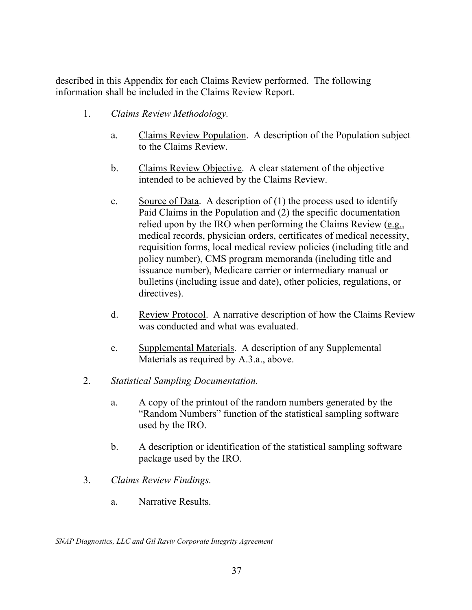described in this Appendix for each Claims Review performed. The following information shall be included in the Claims Review Report.

- 1. *Claims Review Methodology.* 
	- a. Claims Review Population. A description of the Population subject to the Claims Review.
	- b. Claims Review Objective. A clear statement of the objective intended to be achieved by the Claims Review.
	- c. Source of Data. A description of  $(1)$  the process used to identify Paid Claims in the Population and (2) the specific documentation relied upon by the IRO when performing the Claims Review  $(e.g.,)$ medical records, physician orders, certificates of medical necessity, requisition forms, local medical review policies (including title and policy number), CMS program memoranda (including title and issuance number), Medicare carrier or intermediary manual or bulletins (including issue and date), other policies, regulations, or directives).
	- d. Review Protocol. A narrative description of how the Claims Review was conducted and what was evaluated.
	- e. Supplemental Materials. A description of any Supplemental Materials as required by A.3.a., above.
- 2. *Statistical Sampling Documentation.* 
	- a. A copy of the printout of the random numbers generated by the "Random Numbers" function of the statistical sampling software used by the IRO.
	- b. A description or identification of the statistical sampling software package used by the IRO.
- 3. *Claims Review Findings.* 
	- a. Narrative Results.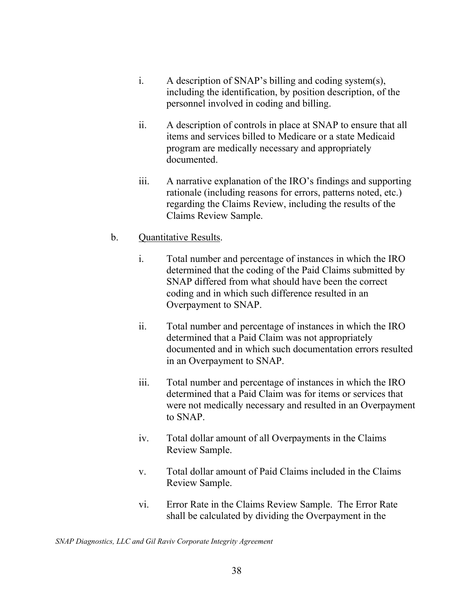- i. A description of SNAP's billing and coding system(s), including the identification, by position description, of the personnel involved in coding and billing.
- ii. A description of controls in place at SNAP to ensure that all items and services billed to Medicare or a state Medicaid program are medically necessary and appropriately documented.
- iii. A narrative explanation of the IRO's findings and supporting rationale (including reasons for errors, patterns noted, etc.) regarding the Claims Review, including the results of the Claims Review Sample.
- b. Quantitative Results.
	- i. Total number and percentage of instances in which the IRO determined that the coding of the Paid Claims submitted by SNAP differed from what should have been the correct coding and in which such difference resulted in an Overpayment to SNAP.
	- ii. Total number and percentage of instances in which the IRO determined that a Paid Claim was not appropriately documented and in which such documentation errors resulted in an Overpayment to SNAP.
	- iii. Total number and percentage of instances in which the IRO determined that a Paid Claim was for items or services that were not medically necessary and resulted in an Overpayment to SNAP.
	- iv. Total dollar amount of all Overpayments in the Claims Review Sample.
	- v. Total dollar amount of Paid Claims included in the Claims Review Sample.
	- vi. Error Rate in the Claims Review Sample. The Error Rate shall be calculated by dividing the Overpayment in the